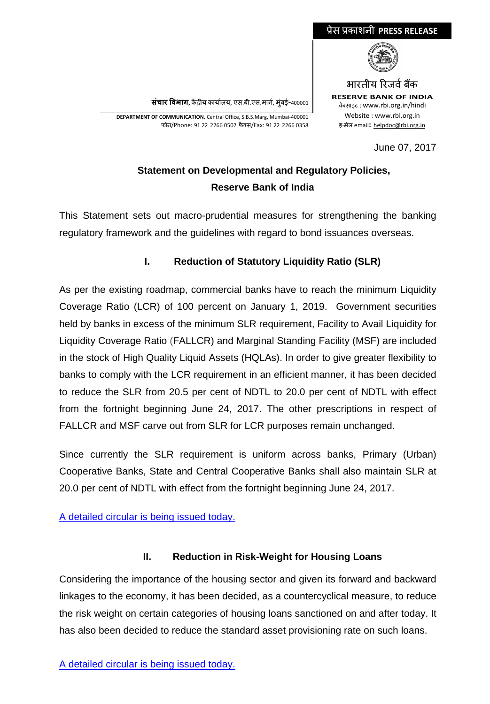#### **संचार �वभाग,** क�द्र�य कायार्लय, एस.बी.एस.मागर्, मुंबई-400001

\_\_\_\_\_\_\_\_\_\_\_\_\_\_\_\_\_\_\_\_\_\_\_\_\_\_\_\_\_\_\_\_\_\_\_\_\_\_\_\_\_\_\_\_\_\_\_\_\_\_\_\_\_\_\_\_\_\_\_\_\_\_\_\_\_\_\_\_\_\_\_\_\_\_\_\_\_\_\_\_\_\_\_\_\_\_\_\_\_\_\_\_\_\_\_\_\_\_\_\_\_\_\_\_ **DEPARTMENT OF COMMUNICATION**, Central Office, S.B.S.Marg, Mumbai-400001 फोन/Phone: 91 22 2266 0502 फै क्स/Fax: 91 22 2266 0358

## **Statement on Developmental and Regulatory Policies, Reserve Bank of India**

This Statement sets out macro-prudential measures for strengthening the banking regulatory framework and the guidelines with regard to bond issuances overseas.

### **I. Reduction of Statutory Liquidity Ratio (SLR)**

As per the existing roadmap, commercial banks have to reach the minimum Liquidity Coverage Ratio (LCR) of 100 percent on January 1, 2019. Government securities held by banks in excess of the minimum SLR requirement, Facility to Avail Liquidity for Liquidity Coverage Ratio (FALLCR) and Marginal Standing Facility (MSF) are included in the stock of High Quality Liquid Assets (HQLAs). In order to give greater flexibility to banks to comply with the LCR requirement in an efficient manner, it has been decided to reduce the SLR from 20.5 per cent of NDTL to 20.0 per cent of NDTL with effect from the fortnight beginning June 24, 2017. The other prescriptions in respect of FALLCR and MSF carve out from SLR for LCR purposes remain unchanged.

Since currently the SLR requirement is uniform across banks, Primary (Urban) Cooperative Banks, State and Central Cooperative Banks shall also maintain SLR at 20.0 per cent of NDTL with effect from the fortnight beginning June 24, 2017.

[A detailed circular is being issued today.](https://www.rbi.org.in/Scripts/NotificationUser.aspx?Id=10996&Mode=0)

#### **II. Reduction in Risk-Weight for Housing Loans**

Considering the importance of the housing sector and given its forward and backward linkages to the economy, it has been decided, as a countercyclical measure, to reduce the risk weight on certain categories of housing loans sanctioned on and after today. It has also been decided to reduce the standard asset provisioning rate on such loans.

# भारतीय रिजर्व बैंक **RESERVE BANK OF INDIA** <sup>0</sup>वेबसाइट : www.rbi.org.in/hindi

June 07, 2017



Website : www.rbi.org.in इ-मेल email**:** [helpdoc@rbi.org.in](mailto:helpdoc@rbi.org.in)

प्रेस प्रकाशनी **PRESS RELEASE**